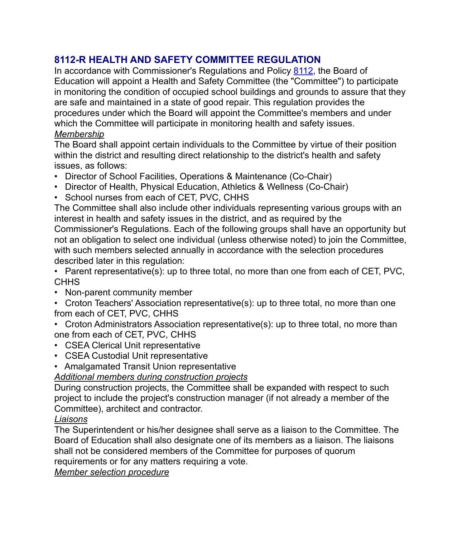# **8112-R HEALTH AND SAFETY COMMITTEE REGULATION**

In accordance with Commissioner's Regulations and Policy [8112,](https://boardpolicyonline.com/?b=croton_harmon&s=27041) the Board of Education will appoint a Health and Safety Committee (the "Committee") to participate in monitoring the condition of occupied school buildings and grounds to assure that they are safe and maintained in a state of good repair. This regulation provides the procedures under which the Board will appoint the Committee's members and under which the Committee will participate in monitoring health and safety issues. *Membership*

The Board shall appoint certain individuals to the Committee by virtue of their position within the district and resulting direct relationship to the district's health and safety issues, as follows:

- Director of School Facilities, Operations & Maintenance (Co-Chair)
- Director of Health, Physical Education, Athletics & Wellness (Co-Chair)
- School nurses from each of CET, PVC, CHHS

The Committee shall also include other individuals representing various groups with an interest in health and safety issues in the district, and as required by the Commissioner's Regulations. Each of the following groups shall have an opportunity but not an obligation to select one individual (unless otherwise noted) to join the Committee, with such members selected annually in accordance with the selection procedures described later in this regulation:

• Parent representative(s): up to three total, no more than one from each of CET, PVC, **CHHS** 

- Non-parent community member
- Croton Teachers' Association representative(s): up to three total, no more than one from each of CET, PVC, CHHS
- Croton Administrators Association representative(s): up to three total, no more than one from each of CET, PVC, CHHS
- CSEA Clerical Unit representative
- CSEA Custodial Unit representative
- Amalgamated Transit Union representative

*Additional members during construction projects*

During construction projects, the Committee shall be expanded with respect to such project to include the project's construction manager (if not already a member of the Committee), architect and contractor.

#### *Liaisons*

The Superintendent or his/her designee shall serve as a liaison to the Committee. The Board of Education shall also designate one of its members as a liaison. The liaisons shall not be considered members of the Committee for purposes of quorum requirements or for any matters requiring a vote.

*Member selection procedure*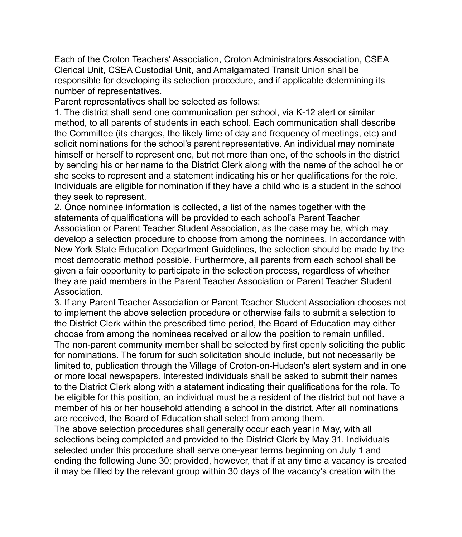Each of the Croton Teachers' Association, Croton Administrators Association, CSEA Clerical Unit, CSEA Custodial Unit, and Amalgamated Transit Union shall be responsible for developing its selection procedure, and if applicable determining its number of representatives.

Parent representatives shall be selected as follows:

1. The district shall send one communication per school, via K-12 alert or similar method, to all parents of students in each school. Each communication shall describe the Committee (its charges, the likely time of day and frequency of meetings, etc) and solicit nominations for the school's parent representative. An individual may nominate himself or herself to represent one, but not more than one, of the schools in the district by sending his or her name to the District Clerk along with the name of the school he or she seeks to represent and a statement indicating his or her qualifications for the role. Individuals are eligible for nomination if they have a child who is a student in the school they seek to represent.

2. Once nominee information is collected, a list of the names together with the statements of qualifications will be provided to each school's Parent Teacher Association or Parent Teacher Student Association, as the case may be, which may develop a selection procedure to choose from among the nominees. In accordance with New York State Education Department Guidelines, the selection should be made by the most democratic method possible. Furthermore, all parents from each school shall be given a fair opportunity to participate in the selection process, regardless of whether they are paid members in the Parent Teacher Association or Parent Teacher Student Association.

3. If any Parent Teacher Association or Parent Teacher Student Association chooses not to implement the above selection procedure or otherwise fails to submit a selection to the District Clerk within the prescribed time period, the Board of Education may either choose from among the nominees received or allow the position to remain unfilled. The non-parent community member shall be selected by first openly soliciting the public for nominations. The forum for such solicitation should include, but not necessarily be limited to, publication through the Village of Croton-on-Hudson's alert system and in one or more local newspapers. Interested individuals shall be asked to submit their names to the District Clerk along with a statement indicating their qualifications for the role. To be eligible for this position, an individual must be a resident of the district but not have a member of his or her household attending a school in the district. After all nominations are received, the Board of Education shall select from among them.

The above selection procedures shall generally occur each year in May, with all selections being completed and provided to the District Clerk by May 31. Individuals selected under this procedure shall serve one-year terms beginning on July 1 and ending the following June 30; provided, however, that if at any time a vacancy is created it may be filled by the relevant group within 30 days of the vacancy's creation with the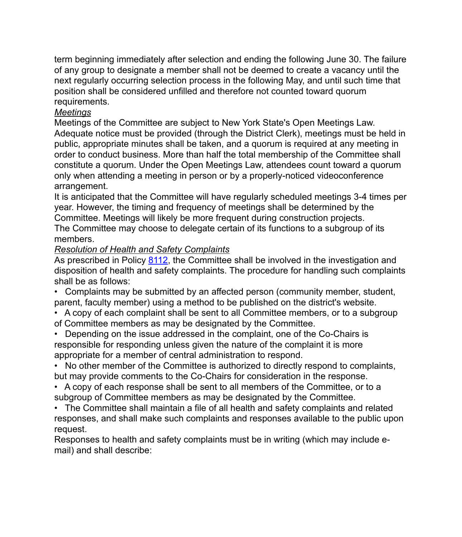term beginning immediately after selection and ending the following June 30. The failure of any group to designate a member shall not be deemed to create a vacancy until the next regularly occurring selection process in the following May, and until such time that position shall be considered unfilled and therefore not counted toward quorum requirements.

### *Meetings*

Meetings of the Committee are subject to New York State's Open Meetings Law. Adequate notice must be provided (through the District Clerk), meetings must be held in public, appropriate minutes shall be taken, and a quorum is required at any meeting in order to conduct business. More than half the total membership of the Committee shall constitute a quorum. Under the Open Meetings Law, attendees count toward a quorum only when attending a meeting in person or by a properly-noticed videoconference arrangement.

It is anticipated that the Committee will have regularly scheduled meetings 3-4 times per year. However, the timing and frequency of meetings shall be determined by the Committee. Meetings will likely be more frequent during construction projects.

The Committee may choose to delegate certain of its functions to a subgroup of its members.

#### *Resolution of Health and Safety Complaints*

As prescribed in Policy [8112,](https://boardpolicyonline.com/?b=croton_harmon&s=27041) the Committee shall be involved in the investigation and disposition of health and safety complaints. The procedure for handling such complaints shall be as follows:

• Complaints may be submitted by an affected person (community member, student, parent, faculty member) using a method to be published on the district's website.

- A copy of each complaint shall be sent to all Committee members, or to a subgroup of Committee members as may be designated by the Committee.
- Depending on the issue addressed in the complaint, one of the Co-Chairs is responsible for responding unless given the nature of the complaint it is more appropriate for a member of central administration to respond.
- No other member of the Committee is authorized to directly respond to complaints, but may provide comments to the Co-Chairs for consideration in the response.
- A copy of each response shall be sent to all members of the Committee, or to a subgroup of Committee members as may be designated by the Committee.
- The Committee shall maintain a file of all health and safety complaints and related responses, and shall make such complaints and responses available to the public upon request.

Responses to health and safety complaints must be in writing (which may include email) and shall describe: